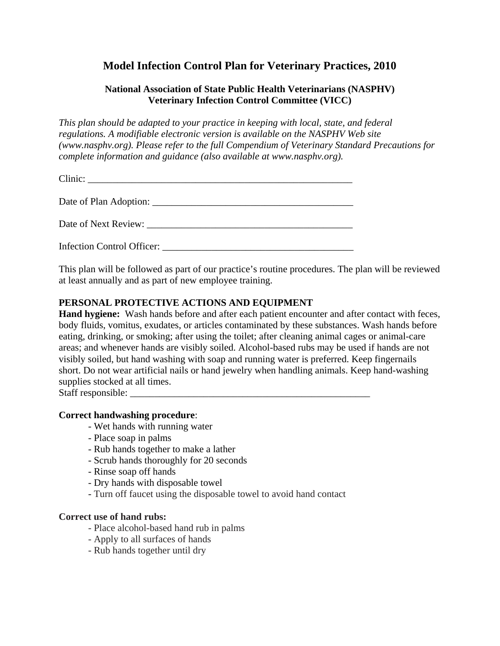# **Model Infection Control Plan for Veterinary Practices, 2010**

## **National Association of State Public Health Veterinarians (NASPHV) Veterinary Infection Control Committee (VICC)**

*This plan should be adapted to your practice in keeping with local, state, and federal regulations. A modifiable electronic version is available on the NASPHV Web site (www.nasphv.org). Please refer to the full Compendium of Veterinary Standard Precautions for complete information and guidance (also available at www.nasphv.org).*

| Clinic:                    |  |
|----------------------------|--|
|                            |  |
| Date of Next Review:       |  |
| Infection Control Officer: |  |

This plan will be followed as part of our practice's routine procedures. The plan will be reviewed at least annually and as part of new employee training.

### **PERSONAL PROTECTIVE ACTIONS AND EQUIPMENT**

**Hand hygiene:** Wash hands before and after each patient encounter and after contact with feces, body fluids, vomitus, exudates, or articles contaminated by these substances. Wash hands before eating, drinking, or smoking; after using the toilet; after cleaning animal cages or animal-care areas; and whenever hands are visibly soiled. Alcohol-based rubs may be used if hands are not visibly soiled, but hand washing with soap and running water is preferred. Keep fingernails short. Do not wear artificial nails or hand jewelry when handling animals. Keep hand-washing supplies stocked at all times. Staff responsible:

### **Correct handwashing procedure**:

- Wet hands with running water
- Place soap in palms
- Rub hands together to make a lather
- Scrub hands thoroughly for 20 seconds
- Rinse soap off hands
- Dry hands with disposable towel
- Turn off faucet using the disposable towel to avoid hand contact

#### **Correct use of hand rubs:**

- Place alcohol-based hand rub in palms
- Apply to all surfaces of hands
- Rub hands together until dry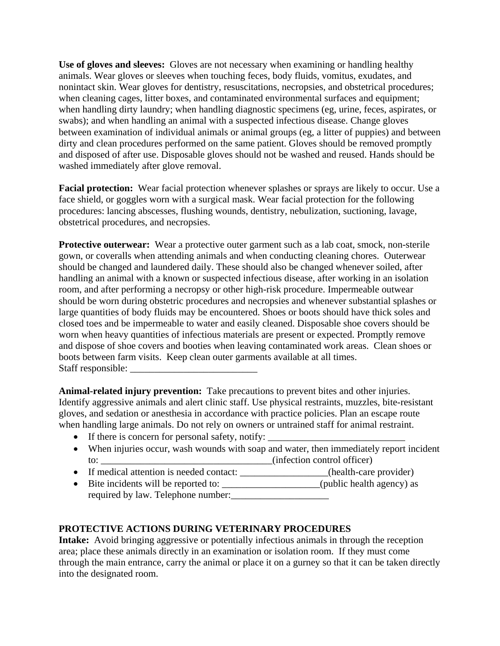**Use of gloves and sleeves:** Gloves are not necessary when examining or handling healthy animals. Wear gloves or sleeves when touching feces, body fluids, vomitus, exudates, and nonintact skin. Wear gloves for dentistry, resuscitations, necropsies, and obstetrical procedures; when cleaning cages, litter boxes, and contaminated environmental surfaces and equipment; when handling dirty laundry; when handling diagnostic specimens (eg, urine, feces, aspirates, or swabs); and when handling an animal with a suspected infectious disease. Change gloves between examination of individual animals or animal groups (eg, a litter of puppies) and between dirty and clean procedures performed on the same patient. Gloves should be removed promptly and disposed of after use. Disposable gloves should not be washed and reused. Hands should be washed immediately after glove removal.

**Facial protection:** Wear facial protection whenever splashes or sprays are likely to occur. Use a face shield, or goggles worn with a surgical mask. Wear facial protection for the following procedures: lancing abscesses, flushing wounds, dentistry, nebulization, suctioning, lavage, obstetrical procedures, and necropsies.

**Protective outerwear:** Wear a protective outer garment such as a lab coat, smock, non-sterile gown, or coveralls when attending animals and when conducting cleaning chores. Outerwear should be changed and laundered daily. These should also be changed whenever soiled, after handling an animal with a known or suspected infectious disease, after working in an isolation room, and after performing a necropsy or other high-risk procedure. Impermeable outwear should be worn during obstetric procedures and necropsies and whenever substantial splashes or large quantities of body fluids may be encountered. Shoes or boots should have thick soles and closed toes and be impermeable to water and easily cleaned. Disposable shoe covers should be worn when heavy quantities of infectious materials are present or expected. Promptly remove and dispose of shoe covers and booties when leaving contaminated work areas. Clean shoes or boots between farm visits. Keep clean outer garments available at all times. Staff responsible:

**Animal-related injury prevention:** Take precautions to prevent bites and other injuries. Identify aggressive animals and alert clinic staff. Use physical restraints, muzzles, bite-resistant gloves, and sedation or anesthesia in accordance with practice policies. Plan an escape route when handling large animals. Do not rely on owners or untrained staff for animal restraint.

- If there is concern for personal safety, notify:
- When injuries occur, wash wounds with soap and water, then immediately report incident to: \_\_\_\_\_\_\_\_\_\_\_\_\_\_\_\_\_\_\_\_\_\_\_\_\_\_\_\_\_\_\_\_\_\_\_(infection control officer)
- If medical attention is needed contact: \_\_\_\_\_\_\_\_\_\_\_\_\_\_\_\_\_\_(health-care provider)
- $\bullet$  Bite incidents will be reported to: \_\_\_\_\_\_\_\_\_\_\_\_\_\_\_\_\_\_\_\_\_\_(public health agency) as required by law. Telephone number:

## **PROTECTIVE ACTIONS DURING VETERINARY PROCEDURES**

**Intake:** Avoid bringing aggressive or potentially infectious animals in through the reception area; place these animals directly in an examination or isolation room. If they must come through the main entrance, carry the animal or place it on a gurney so that it can be taken directly into the designated room.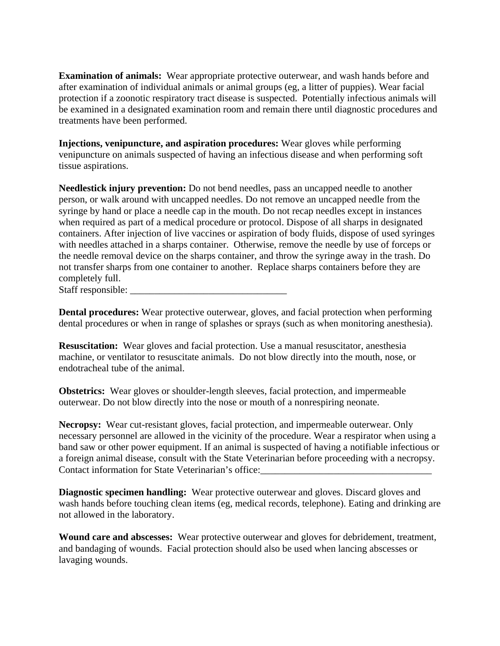**Examination of animals:** Wear appropriate protective outerwear, and wash hands before and after examination of individual animals or animal groups (eg, a litter of puppies). Wear facial protection if a zoonotic respiratory tract disease is suspected. Potentially infectious animals will be examined in a designated examination room and remain there until diagnostic procedures and treatments have been performed.

**Injections, venipuncture, and aspiration procedures:** Wear gloves while performing venipuncture on animals suspected of having an infectious disease and when performing soft tissue aspirations.

**Needlestick injury prevention:** Do not bend needles, pass an uncapped needle to another person, or walk around with uncapped needles. Do not remove an uncapped needle from the syringe by hand or place a needle cap in the mouth. Do not recap needles except in instances when required as part of a medical procedure or protocol. Dispose of all sharps in designated containers. After injection of live vaccines or aspiration of body fluids, dispose of used syringes with needles attached in a sharps container. Otherwise, remove the needle by use of forceps or the needle removal device on the sharps container, and throw the syringe away in the trash. Do not transfer sharps from one container to another. Replace sharps containers before they are completely full.

Staff responsible:

**Dental procedures:** Wear protective outerwear, gloves, and facial protection when performing dental procedures or when in range of splashes or sprays (such as when monitoring anesthesia).

**Resuscitation:** Wear gloves and facial protection. Use a manual resuscitator, anesthesia machine, or ventilator to resuscitate animals. Do not blow directly into the mouth, nose, or endotracheal tube of the animal.

**Obstetrics:** Wear gloves or shoulder-length sleeves, facial protection, and impermeable outerwear. Do not blow directly into the nose or mouth of a nonrespiring neonate.

**Necropsy:** Wear cut-resistant gloves, facial protection, and impermeable outerwear. Only necessary personnel are allowed in the vicinity of the procedure. Wear a respirator when using a band saw or other power equipment. If an animal is suspected of having a notifiable infectious or a foreign animal disease, consult with the State Veterinarian before proceeding with a necropsy. Contact information for State Veterinarian's office:

**Diagnostic specimen handling:** Wear protective outerwear and gloves. Discard gloves and wash hands before touching clean items (eg, medical records, telephone). Eating and drinking are not allowed in the laboratory.

**Wound care and abscesses:** Wear protective outerwear and gloves for debridement, treatment, and bandaging of wounds. Facial protection should also be used when lancing abscesses or lavaging wounds.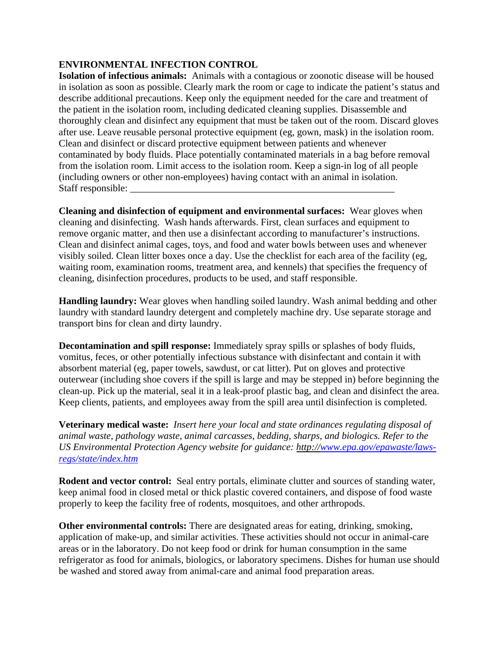## **ENVIRONMENTAL INFECTION CONTROL**

**Isolation of infectious animals:** Animals with a contagious or zoonotic disease will be housed in isolation as soon as possible. Clearly mark the room or cage to indicate the patient's status and describe additional precautions. Keep only the equipment needed for the care and treatment of the patient in the isolation room, including dedicated cleaning supplies. Disassemble and thoroughly clean and disinfect any equipment that must be taken out of the room. Discard gloves after use. Leave reusable personal protective equipment (eg, gown, mask) in the isolation room. Clean and disinfect or discard protective equipment between patients and whenever contaminated by body fluids. Place potentially contaminated materials in a bag before removal from the isolation room. Limit access to the isolation room. Keep a sign-in log of all people (including owners or other non-employees) having contact with an animal in isolation. Staff responsible:

**Cleaning and disinfection of equipment and environmental surfaces:** Wear gloves when cleaning and disinfecting. Wash hands afterwards. First, clean surfaces and equipment to remove organic matter, and then use a disinfectant according to manufacturer's instructions. Clean and disinfect animal cages, toys, and food and water bowls between uses and whenever visibly soiled. Clean litter boxes once a day. Use the checklist for each area of the facility (eg, waiting room, examination rooms, treatment area, and kennels) that specifies the frequency of cleaning, disinfection procedures, products to be used, and staff responsible.

**Handling laundry:** Wear gloves when handling soiled laundry. Wash animal bedding and other laundry with standard laundry detergent and completely machine dry. Use separate storage and transport bins for clean and dirty laundry.

**Decontamination and spill response:** Immediately spray spills or splashes of body fluids, vomitus, feces, or other potentially infectious substance with disinfectant and contain it with absorbent material (eg, paper towels, sawdust, or cat litter). Put on gloves and protective outerwear (including shoe covers if the spill is large and may be stepped in) before beginning the clean-up. Pick up the material, seal it in a leak-proof plastic bag, and clean and disinfect the area. Keep clients, patients, and employees away from the spill area until disinfection is completed.

**Veterinary medical waste:** *Insert here your local and state ordinances regulating disposal of animal waste, pathology waste, animal carcasses, bedding, sharps, and biologics. Refer to the US Environmental Protection Agency website for guidance: http://www.epa.gov/epawaste/lawsregs/state/index.htm*

**Rodent and vector control:** Seal entry portals, eliminate clutter and sources of standing water, keep animal food in closed metal or thick plastic covered containers, and dispose of food waste properly to keep the facility free of rodents, mosquitoes, and other arthropods.

**Other environmental controls:** There are designated areas for eating, drinking, smoking, application of make-up, and similar activities. These activities should not occur in animal-care areas or in the laboratory. Do not keep food or drink for human consumption in the same refrigerator as food for animals, biologics, or laboratory specimens. Dishes for human use should be washed and stored away from animal-care and animal food preparation areas.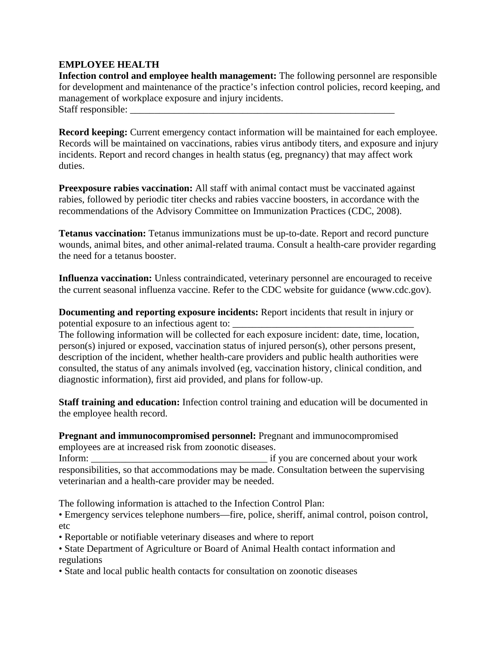## **EMPLOYEE HEALTH**

**Infection control and employee health management:** The following personnel are responsible for development and maintenance of the practice's infection control policies, record keeping, and management of workplace exposure and injury incidents. Staff responsible:

**Record keeping:** Current emergency contact information will be maintained for each employee. Records will be maintained on vaccinations, rabies virus antibody titers, and exposure and injury incidents. Report and record changes in health status (eg, pregnancy) that may affect work duties.

**Preexposure rabies vaccination:** All staff with animal contact must be vaccinated against rabies, followed by periodic titer checks and rabies vaccine boosters, in accordance with the recommendations of the Advisory Committee on Immunization Practices (CDC, 2008).

**Tetanus vaccination:** Tetanus immunizations must be up-to-date. Report and record puncture wounds, animal bites, and other animal-related trauma. Consult a health-care provider regarding the need for a tetanus booster.

**Influenza vaccination:** Unless contraindicated, veterinary personnel are encouraged to receive the current seasonal influenza vaccine. Refer to the CDC website for guidance (www.cdc.gov).

**Documenting and reporting exposure incidents:** Report incidents that result in injury or potential exposure to an infectious agent to:

The following information will be collected for each exposure incident: date, time, location, person(s) injured or exposed, vaccination status of injured person(s), other persons present, description of the incident, whether health-care providers and public health authorities were consulted, the status of any animals involved (eg, vaccination history, clinical condition, and diagnostic information), first aid provided, and plans for follow-up.

**Staff training and education:** Infection control training and education will be documented in the employee health record.

**Pregnant and immunocompromised personnel:** Pregnant and immunocompromised employees are at increased risk from zoonotic diseases.

Inform: \_\_\_\_\_\_\_\_\_\_\_\_\_\_\_\_\_\_\_\_\_\_\_\_\_\_\_\_\_\_\_\_\_\_\_\_ if you are concerned about your work responsibilities, so that accommodations may be made. Consultation between the supervising veterinarian and a health-care provider may be needed.

The following information is attached to the Infection Control Plan:

• Emergency services telephone numbers—fire, police, sheriff, animal control, poison control, etc

- Reportable or notifiable veterinary diseases and where to report
- State Department of Agriculture or Board of Animal Health contact information and regulations
- State and local public health contacts for consultation on zoonotic diseases